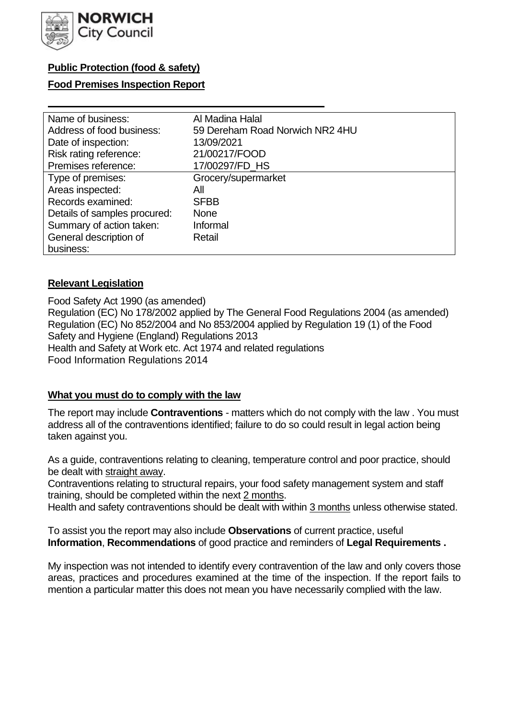

# **Public Protection (food & safety)**

## **Food Premises Inspection Report**

| Name of business:            | Al Madina Halal                 |
|------------------------------|---------------------------------|
| Address of food business:    | 59 Dereham Road Norwich NR2 4HU |
| Date of inspection:          | 13/09/2021                      |
| Risk rating reference:       | 21/00217/FOOD                   |
| Premises reference:          | 17/00297/FD_HS                  |
| Type of premises:            | Grocery/supermarket             |
| Areas inspected:             | Αll                             |
| Records examined:            | <b>SFBB</b>                     |
| Details of samples procured: | <b>None</b>                     |
| Summary of action taken:     | Informal                        |
| General description of       | Retail                          |
| business:                    |                                 |

## **Relevant Legislation**

 Food Safety Act 1990 (as amended) Regulation (EC) No 178/2002 applied by The General Food Regulations 2004 (as amended) Regulation (EC) No 852/2004 and No 853/2004 applied by Regulation 19 (1) of the Food Safety and Hygiene (England) Regulations 2013 Health and Safety at Work etc. Act 1974 and related regulations Food Information Regulations 2014

## **What you must do to comply with the law**

 The report may include **Contraventions** - matters which do not comply with the law . You must address all of the contraventions identified; failure to do so could result in legal action being taken against you.

 As a guide, contraventions relating to cleaning, temperature control and poor practice, should be dealt with straight away.

 Contraventions relating to structural repairs, your food safety management system and staff training, should be completed within the next 2 months.

Health and safety contraventions should be dealt with within 3 months unless otherwise stated.

 To assist you the report may also include **Observations** of current practice, useful **Information**, **Recommendations** of good practice and reminders of **Legal Requirements .** 

 My inspection was not intended to identify every contravention of the law and only covers those areas, practices and procedures examined at the time of the inspection. If the report fails to mention a particular matter this does not mean you have necessarily complied with the law.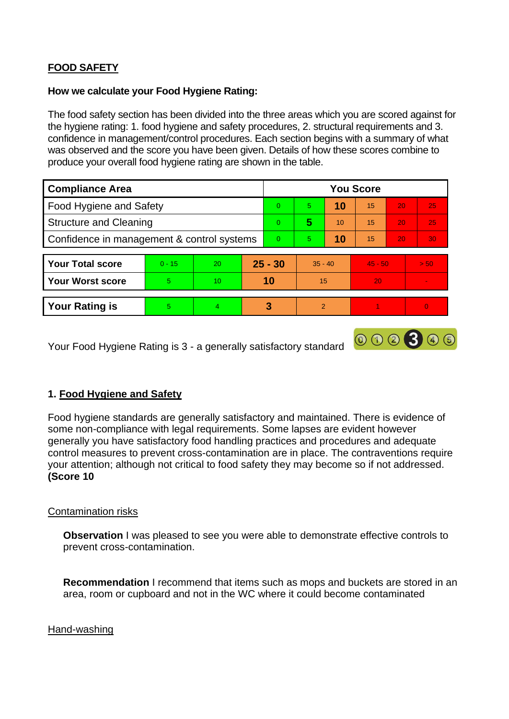# **FOOD SAFETY**

## **How we calculate your Food Hygiene Rating:**

 The food safety section has been divided into the three areas which you are scored against for the hygiene rating: 1. food hygiene and safety procedures, 2. structural requirements and 3. confidence in management/control procedures. Each section begins with a summary of what was observed and the score you have been given. Details of how these scores combine to produce your overall food hygiene rating are shown in the table.

| <b>Compliance Area</b>                     |          |    |           | <b>You Score</b> |               |    |           |                 |                |  |  |
|--------------------------------------------|----------|----|-----------|------------------|---------------|----|-----------|-----------------|----------------|--|--|
| Food Hygiene and Safety                    |          |    |           | $\Omega$         | 5             | 10 | 15        | 20              | 25             |  |  |
| <b>Structure and Cleaning</b>              |          |    | $\Omega$  | 5                | 10            | 15 | 20        | 25              |                |  |  |
| Confidence in management & control systems |          |    | $\Omega$  | 5                | 10            | 15 | 20        | 30 <sup>°</sup> |                |  |  |
|                                            |          |    |           |                  |               |    |           |                 |                |  |  |
| <b>Your Total score</b>                    | $0 - 15$ | 20 | $25 - 30$ |                  | $35 - 40$     |    | $45 - 50$ |                 | > 50           |  |  |
| <b>Your Worst score</b>                    | 5        | 10 | 10        |                  | 15            |    | 20        |                 |                |  |  |
|                                            |          |    |           |                  |               |    |           |                 |                |  |  |
| <b>Your Rating is</b>                      | 5        | 4  |           | 3                | $\mathcal{P}$ |    |           |                 | $\overline{0}$ |  |  |

Your Food Hygiene Rating is 3 - a generally satisfactory standard

# **1. Food Hygiene and Safety**

Food hygiene standards are generally satisfactory and maintained. There is evidence of some non-compliance with legal requirements. Some lapses are evident however generally you have satisfactory food handling practices and procedures and adequate control measures to prevent cross-contamination are in place. The contraventions require your attention; although not critical to food safety they may become so if not addressed. **(Score 10** 

000300

## Contamination risks

**Observation** I was pleased to see you were able to demonstrate effective controls to prevent cross-contamination.

**Recommendation** I recommend that items such as mops and buckets are stored in an area, room or cupboard and not in the WC where it could become contaminated

#### Hand-washing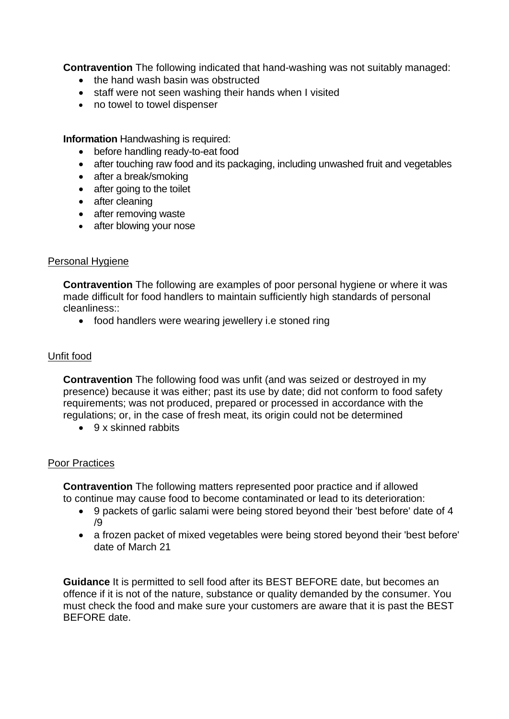**Contravention** The following indicated that hand-washing was not suitably managed:

- the hand wash basin was obstructed
- staff were not seen washing their hands when I visited
- no towel to towel dispenser

**Information** Handwashing is required:

- before handling ready-to-eat food
- after touching raw food and its packaging, including unwashed fruit and vegetables
- after a break/smoking
- after going to the toilet
- after cleaning
- after removing waste
- after blowing your nose

#### Personal Hygiene

**Contravention** The following are examples of poor personal hygiene or where it was made difficult for food handlers to maintain sufficiently high standards of personal cleanliness::

• food handlers were wearing jewellery i.e stoned ring

## Unfit food

**Contravention** The following food was unfit (and was seized or destroyed in my presence) because it was either; past its use by date; did not conform to food safety requirements; was not produced, prepared or processed in accordance with the regulations; or, in the case of fresh meat, its origin could not be determined

• 9 x skinned rabbits

#### Poor Practices

**Contravention** The following matters represented poor practice and if allowed to continue may cause food to become contaminated or lead to its deterioration:

- 9 packets of garlic salami were being stored beyond their 'best before' date of 4 /9
- a frozen packet of mixed vegetables were being stored beyond their 'best before' date of March 21

 must check the food and make sure your customers are aware that it is past the BEST **Guidance** It is permitted to sell food after its BEST BEFORE date, but becomes an offence if it is not of the nature, substance or quality demanded by the consumer. You BEFORE date.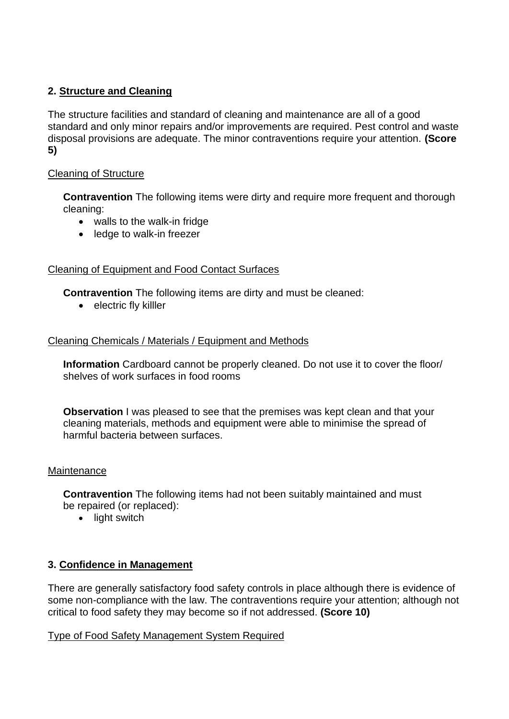# **2. Structure and Cleaning**

 The structure facilities and standard of cleaning and maintenance are all of a good standard and only minor repairs and/or improvements are required. Pest control and waste disposal provisions are adequate. The minor contraventions require your attention. **(Score 5)** 

## Cleaning of Structure

**Contravention** The following items were dirty and require more frequent and thorough cleaning:

- walls to the walk-in fridge
- ledge to walk-in freezer

## Cleaning of Equipment and Food Contact Surfaces

**Contravention** The following items are dirty and must be cleaned:

• electric fly killler

## Cleaning Chemicals / Materials / Equipment and Methods

**Information** Cardboard cannot be properly cleaned. Do not use it to cover the floor/ shelves of work surfaces in food rooms

**Observation** I was pleased to see that the premises was kept clean and that your cleaning materials, methods and equipment were able to minimise the spread of harmful bacteria between surfaces.

## **Maintenance**

**Contravention** The following items had not been suitably maintained and must be repaired (or replaced):

• light switch

## **3. Confidence in Management**

 There are generally satisfactory food safety controls in place although there is evidence of some non-compliance with the law. The contraventions require your attention; although not critical to food safety they may become so if not addressed. **(Score 10)** 

## Type of Food Safety Management System Required